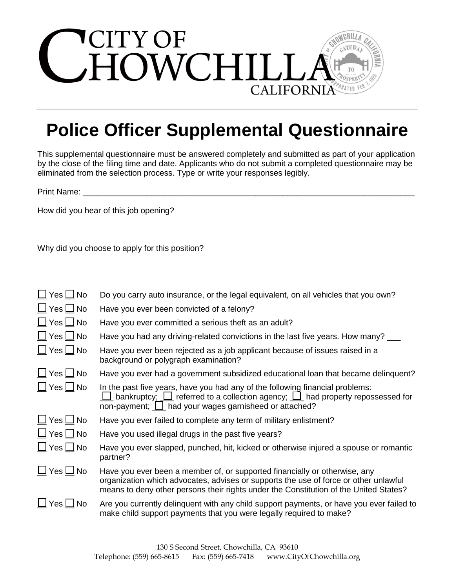

## **Police Officer Supplemental Questionnaire**

This supplemental questionnaire must be answered completely and submitted as part of your application by the close of the filing time and date. Applicants who do not submit a completed questionnaire may be eliminated from the selection process. Type or write your responses legibly.

Print Name:

How did you hear of this job opening?

Why did you choose to apply for this position?

| $\Box$ Yes $\Box$ No   | Do you carry auto insurance, or the legal equivalent, on all vehicles that you own?                                                                                                                                                                                 |
|------------------------|---------------------------------------------------------------------------------------------------------------------------------------------------------------------------------------------------------------------------------------------------------------------|
| $\Box$ Yes $\Box$ No   | Have you ever been convicted of a felony?                                                                                                                                                                                                                           |
| $\Box$ Yes $\Box$ No   | Have you ever committed a serious theft as an adult?                                                                                                                                                                                                                |
| $\Box$ Yes $\Box$ No   | Have you had any driving-related convictions in the last five years. How many?                                                                                                                                                                                      |
| $\Box$ Yes $\Box$ No   | Have you ever been rejected as a job applicant because of issues raised in a<br>background or polygraph examination?                                                                                                                                                |
| $\Box$ Yes $\Box$ No   | Have you ever had a government subsidized educational loan that became delinguent?                                                                                                                                                                                  |
| $\Box$ Yes $\Box$ No   | In the past five years, have you had any of the following financial problems:<br>$\Box$ bankruptcy; $\Box$ referred to a collection agency; $\Box$ had property repossessed for<br>non-payment; $\boxed{\underline{\qquad}}$ had your wages garnisheed or attached? |
| $\Box$ Yes $\Box$ No   | Have you ever failed to complete any term of military enlistment?                                                                                                                                                                                                   |
| $\Box$ Yes $\Box$ No   | Have you used illegal drugs in the past five years?                                                                                                                                                                                                                 |
| $\Box$ Yes $\Box$ No   | Have you ever slapped, punched, hit, kicked or otherwise injured a spouse or romantic<br>partner?                                                                                                                                                                   |
| $\Box$ Yes $\Box$ No   | Have you ever been a member of, or supported financially or otherwise, any<br>organization which advocates, advises or supports the use of force or other unlawful<br>means to deny other persons their rights under the Constitution of the United States?         |
| $\sqcup$ Yes $\Box$ No | Are you currently delinquent with any child support payments, or have you ever failed to<br>make child support payments that you were legally required to make?                                                                                                     |